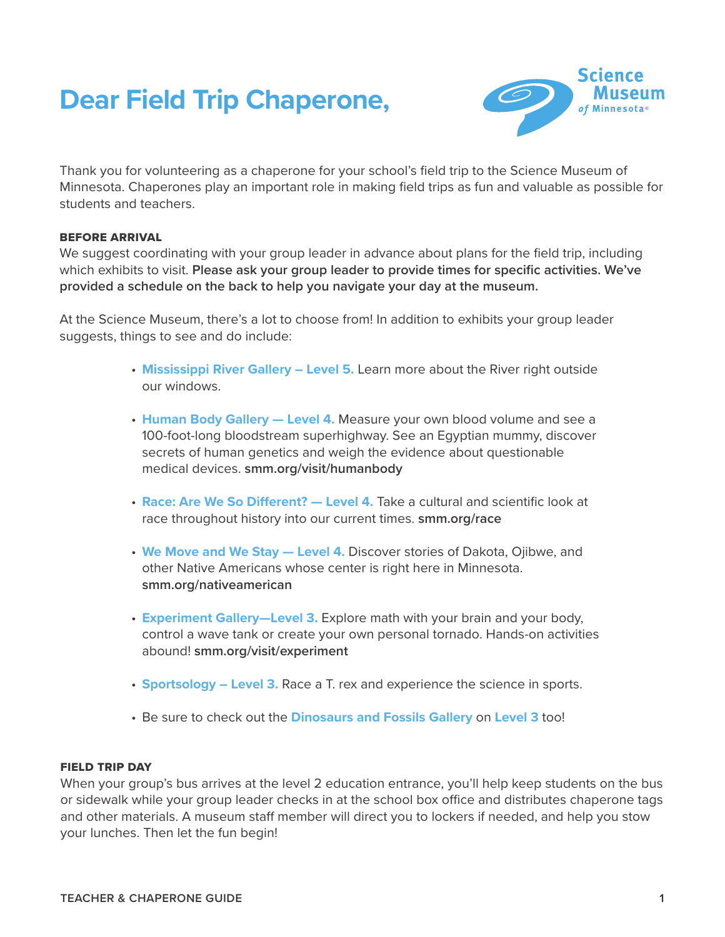# **Dear Field Trip Chaperone,**



Thank you for volunteering as a chaperone for your school's field trip to the Science Museum of Minnesota. Chaperones play an important role in making field trips as fun and valuable as possible for students and teachers.

### BEFORE ARRIVAL

We suggest coordinating with your group leader in advance about plans for the field trip, including which exhibits to visit. **Please ask your group leader to provide times for specific activities. We've provided a schedule on the back to help you navigate your day at the museum.**

At the Science Museum, there's a lot to choose from! In addition to exhibits your group leader suggests, things to see and do include:

- **Mississippi River Gallery Level 5.** Learn more about the River right outside our windows.
- **Human Body Gallery Level 4.** Measure your own blood volume and see a 100-foot-long bloodstream superhighway. See an Egyptian mummy, discover secrets of human genetics and weigh the evidence about questionable medical devices. **smm.org/visit/humanbody**
- **Race: Are We So Different? Level 4.** Take a cultural and scientific look at race throughout history into our current times. **smm.org/race**
- **We Move and We Stay Level 4.** Discover stories of Dakota, Ojibwe, and other Native Americans whose center is right here in Minnesota. **smm.org/nativeamerican**
- **Experiment Gallery—Level 3.** Explore math with your brain and your body, control a wave tank or create your own personal tornado. Hands-on activities abound! **smm.org/visit/experiment**
- **Sportsology Level 3.** Race a T. rex and experience the science in sports.
- Be sure to check out the **Dinosaurs and Fossils Gallery** on **Level 3** too!

#### FIELD TRIP DAY

When your group's bus arrives at the level 2 education entrance, you'll help keep students on the bus or sidewalk while your group leader checks in at the school box office and distributes chaperone tags and other materials. A museum staff member will direct you to lockers if needed, and help you stow your lunches. Then let the fun begin!